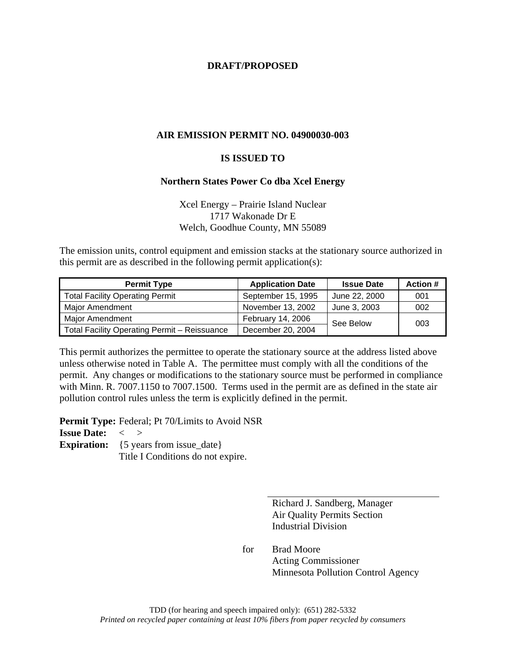## **DRAFT/PROPOSED**

## **AIR EMISSION PERMIT NO. 04900030-003**

#### **IS ISSUED TO**

#### **Northern States Power Co dba Xcel Energy**

Xcel Energy – Prairie Island Nuclear 1717 Wakonade Dr E Welch, Goodhue County, MN 55089

The emission units, control equipment and emission stacks at the stationary source authorized in this permit are as described in the following permit application(s):

| <b>Permit Type</b>                           | <b>Application Date</b>  | <b>Issue Date</b> | <b>Action #</b> |
|----------------------------------------------|--------------------------|-------------------|-----------------|
| <b>Total Facility Operating Permit</b>       | September 15, 1995       | June 22, 2000     | 001             |
| <b>Major Amendment</b>                       | November 13, 2002        | June 3, 2003      | 002             |
| <b>Major Amendment</b>                       | <b>February 14, 2006</b> | See Below         | 003             |
| Total Facility Operating Permit - Reissuance | December 20, 2004        |                   |                 |

This permit authorizes the permittee to operate the stationary source at the address listed above unless otherwise noted in Table A. The permittee must comply with all the conditions of the permit. Any changes or modifications to the stationary source must be performed in compliance with Minn. R. 7007.1150 to 7007.1500. Terms used in the permit are as defined in the state air pollution control rules unless the term is explicitly defined in the permit.

**Permit Type:** Federal; Pt 70/Limits to Avoid NSR

## **Issue Date:** < >

**Expiration:** {5 years from issue\_date}

Title I Conditions do not expire.

 Richard J. Sandberg, Manager Air Quality Permits Section Industrial Division

 for Brad Moore Acting Commissioner Minnesota Pollution Control Agency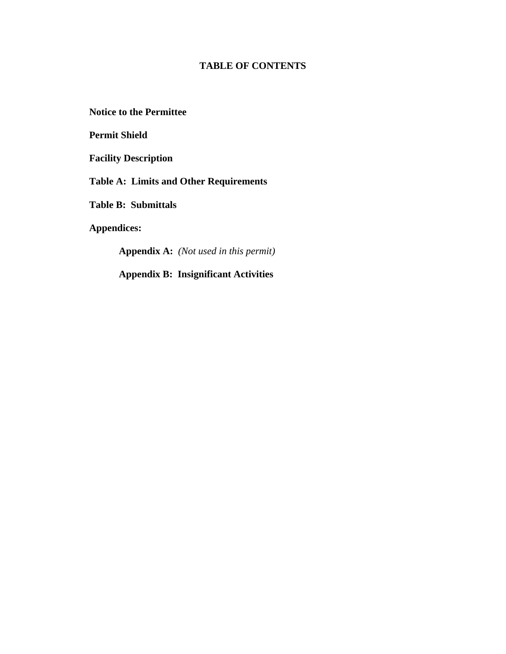# **TABLE OF CONTENTS**

**Notice to the Permittee** 

**Permit Shield** 

**Facility Description** 

**Table A: Limits and Other Requirements** 

**Table B: Submittals** 

**Appendices:** 

**Appendix A:** *(Not used in this permit)*

**Appendix B: Insignificant Activities**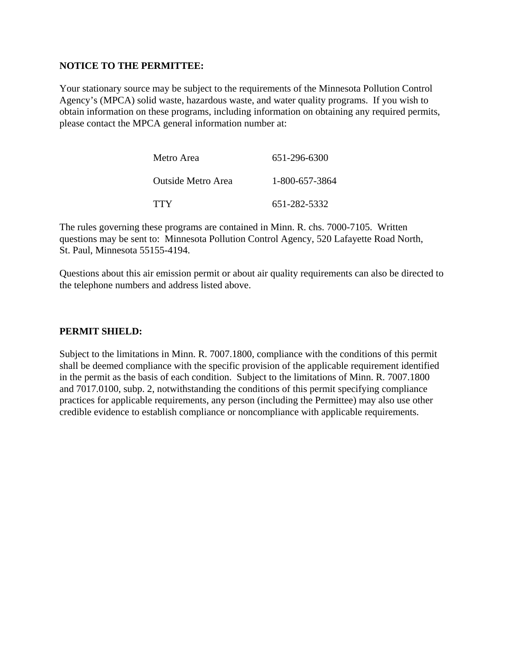## **NOTICE TO THE PERMITTEE:**

Your stationary source may be subject to the requirements of the Minnesota Pollution Control Agency's (MPCA) solid waste, hazardous waste, and water quality programs. If you wish to obtain information on these programs, including information on obtaining any required permits, please contact the MPCA general information number at:

| Metro Area         | 651-296-6300   |
|--------------------|----------------|
| Outside Metro Area | 1-800-657-3864 |
| <b>TTY</b>         | 651-282-5332   |

The rules governing these programs are contained in Minn. R. chs. 7000-7105. Written questions may be sent to: Minnesota Pollution Control Agency, 520 Lafayette Road North, St. Paul, Minnesota 55155-4194.

Questions about this air emission permit or about air quality requirements can also be directed to the telephone numbers and address listed above.

## **PERMIT SHIELD:**

Subject to the limitations in Minn. R. 7007.1800, compliance with the conditions of this permit shall be deemed compliance with the specific provision of the applicable requirement identified in the permit as the basis of each condition. Subject to the limitations of Minn. R. 7007.1800 and 7017.0100, subp. 2, notwithstanding the conditions of this permit specifying compliance practices for applicable requirements, any person (including the Permittee) may also use other credible evidence to establish compliance or noncompliance with applicable requirements.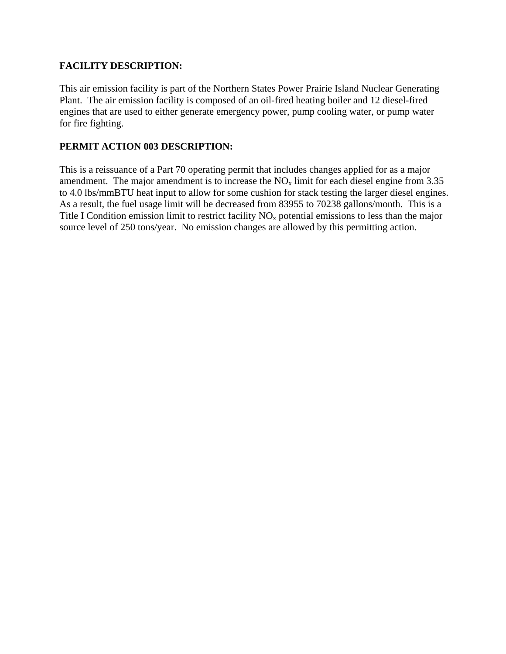## **FACILITY DESCRIPTION:**

This air emission facility is part of the Northern States Power Prairie Island Nuclear Generating Plant. The air emission facility is composed of an oil-fired heating boiler and 12 diesel-fired engines that are used to either generate emergency power, pump cooling water, or pump water for fire fighting.

## **PERMIT ACTION 003 DESCRIPTION:**

This is a reissuance of a Part 70 operating permit that includes changes applied for as a major amendment. The major amendment is to increase the  $NO<sub>x</sub>$  limit for each diesel engine from 3.35 to 4.0 lbs/mmBTU heat input to allow for some cushion for stack testing the larger diesel engines. As a result, the fuel usage limit will be decreased from 83955 to 70238 gallons/month. This is a Title I Condition emission limit to restrict facility  $NO<sub>x</sub>$  potential emissions to less than the major source level of 250 tons/year. No emission changes are allowed by this permitting action.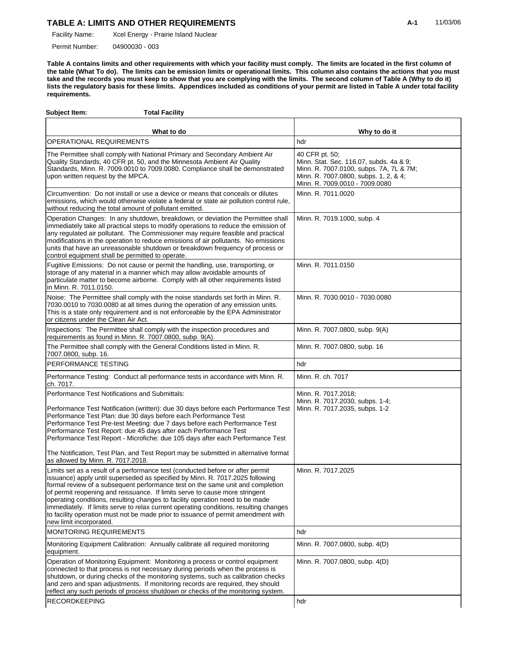Xcel Energy - Prairie Island Nuclear Facility Name:

04900030 - 003 Permit Number:

**Table A contains limits and other requirements with which your facility must comply. The limits are located in the first column of the table (What To do). The limits can be emission limits or operational limits. This column also contains the actions that you must take and the records you must keep to show that you are complying with the limits. The second column of Table A (Why to do it) lists the regulatory basis for these limits. Appendices included as conditions of your permit are listed in Table A under total facility requirements.**

| <b>Total Facility</b><br>Subject Item:                                                                                                                                                                                                                                                                                                                                                                                                                                                                                                   |                                                                                                                                                                                 |
|------------------------------------------------------------------------------------------------------------------------------------------------------------------------------------------------------------------------------------------------------------------------------------------------------------------------------------------------------------------------------------------------------------------------------------------------------------------------------------------------------------------------------------------|---------------------------------------------------------------------------------------------------------------------------------------------------------------------------------|
| What to do                                                                                                                                                                                                                                                                                                                                                                                                                                                                                                                               | Why to do it                                                                                                                                                                    |
| OPERATIONAL REQUIREMENTS                                                                                                                                                                                                                                                                                                                                                                                                                                                                                                                 | hdr                                                                                                                                                                             |
| The Permittee shall comply with National Primary and Secondary Ambient Air<br>Quality Standards, 40 CFR pt. 50, and the Minnesota Ambient Air Quality<br>Standards, Minn. R. 7009.0010 to 7009.0080. Compliance shall be demonstrated<br>upon written request by the MPCA.                                                                                                                                                                                                                                                               | 40 CFR pt. 50;<br>Minn. Stat. Sec. 116.07, subds. 4a & 9;<br>Minn. R. 7007.0100, subps. 7A, 7L & 7M;<br>Minn. R. 7007.0800, subps. 1, 2, & 4;<br>Minn. R. 7009.0010 - 7009.0080 |
| Circumvention: Do not install or use a device or means that conceals or dilutes<br>emissions, which would otherwise violate a federal or state air pollution control rule,<br>without reducing the total amount of pollutant emitted.                                                                                                                                                                                                                                                                                                    | Minn. R. 7011.0020                                                                                                                                                              |
| Operation Changes: In any shutdown, breakdown, or deviation the Permittee shall<br>immediately take all practical steps to modify operations to reduce the emission of<br>any regulated air pollutant. The Commissioner may require feasible and practical<br>modifications in the operation to reduce emissions of air pollutants. No emissions<br>units that have an unreasonable shutdown or breakdown frequency of process or<br>control equipment shall be permitted to operate.                                                    | Minn. R. 7019.1000, subp. 4                                                                                                                                                     |
| Fugitive Emissions: Do not cause or permit the handling, use, transporting, or<br>storage of any material in a manner which may allow avoidable amounts of<br>particulate matter to become airborne. Comply with all other requirements listed<br>in Minn. R. 7011.0150.                                                                                                                                                                                                                                                                 | Minn. R. 7011.0150                                                                                                                                                              |
| Noise: The Permittee shall comply with the noise standards set forth in Minn. R.<br>7030.0010 to 7030.0080 at all times during the operation of any emission units.<br>This is a state only requirement and is not enforceable by the EPA Administrator<br>or citizens under the Clean Air Act.                                                                                                                                                                                                                                          | Minn. R. 7030.0010 - 7030.0080                                                                                                                                                  |
| Inspections: The Permittee shall comply with the inspection procedures and<br>requirements as found in Minn. R. 7007.0800, subp. 9(A).                                                                                                                                                                                                                                                                                                                                                                                                   | Minn. R. 7007.0800, subp. 9(A)                                                                                                                                                  |
| The Permittee shall comply with the General Conditions listed in Minn. R.<br>7007.0800, subp. 16.                                                                                                                                                                                                                                                                                                                                                                                                                                        | Minn. R. 7007.0800, subp. 16                                                                                                                                                    |
| PERFORMANCE TESTING                                                                                                                                                                                                                                                                                                                                                                                                                                                                                                                      | hdr                                                                                                                                                                             |
| Performance Testing: Conduct all performance tests in accordance with Minn. R.<br>ch. 7017.                                                                                                                                                                                                                                                                                                                                                                                                                                              | Minn. R. ch. 7017                                                                                                                                                               |
| Performance Test Notifications and Submittals:<br>Performance Test Notification (written): due 30 days before each Performance Test<br>Performance Test Plan: due 30 days before each Performance Test<br>Performance Test Pre-test Meeting: due 7 days before each Performance Test<br>Performance Test Report: due 45 days after each Performance Test<br>Performance Test Report - Microfiche: due 105 days after each Performance Test<br>The Notification, Test Plan, and Test Report may be submitted in alternative format        | Minn. R. 7017.2018;<br>Minn. R. 7017.2030, subps. 1-4;<br>Minn. R. 7017.2035, subps. 1-2                                                                                        |
| as allowed by Minn. R. 7017.2018.<br>Limits set as a result of a performance test (conducted before or after permit                                                                                                                                                                                                                                                                                                                                                                                                                      | Minn. R. 7017.2025                                                                                                                                                              |
| issuance) apply until superseded as specified by Minn. R. 7017.2025 following<br>formal review of a subsequent performance test on the same unit and completion<br>of permit reopening and reissuance. If limits serve to cause more stringent<br>operating conditions, resulting changes to facility operation need to be made<br>immediately. If limits serve to relax current operating conditions, resulting changes<br>to facility operation must not be made prior to issuance of permit amendment with<br>new limit incorporated. |                                                                                                                                                                                 |
| <b>MONITORING REQUIREMENTS</b>                                                                                                                                                                                                                                                                                                                                                                                                                                                                                                           | hdr                                                                                                                                                                             |
| Monitoring Equipment Calibration: Annually calibrate all required monitoring<br>equipment.                                                                                                                                                                                                                                                                                                                                                                                                                                               | Minn. R. 7007.0800, subp. 4(D)                                                                                                                                                  |
| Operation of Monitoring Equipment: Monitoring a process or control equipment<br>connected to that process is not necessary during periods when the process is<br>shutdown, or during checks of the monitoring systems, such as calibration checks<br>and zero and span adjustments. If monitoring records are required, they should<br>reflect any such periods of process shutdown or checks of the monitoring system.                                                                                                                  | Minn. R. 7007.0800, subp. 4(D)                                                                                                                                                  |
| <b>RECORDKEEPING</b>                                                                                                                                                                                                                                                                                                                                                                                                                                                                                                                     | hdr                                                                                                                                                                             |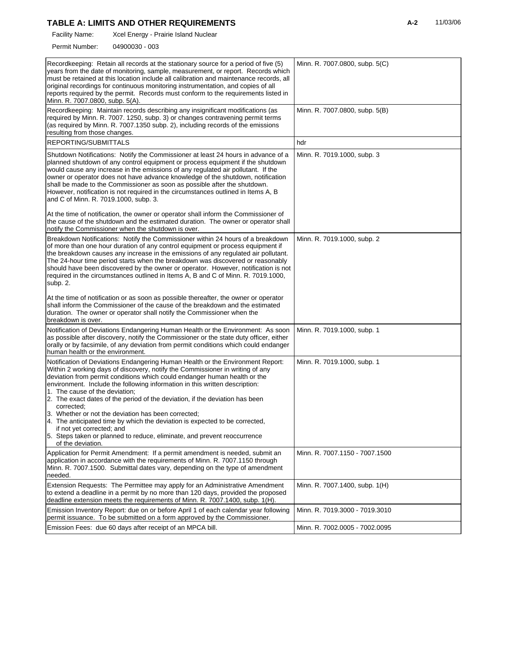Xcel Energy - Prairie Island Nuclear Facility Name:

04900030 - 003 Permit Number:

| Recordkeeping: Retain all records at the stationary source for a period of five (5)<br>years from the date of monitoring, sample, measurement, or report. Records which<br>must be retained at this location include all calibration and maintenance records, all<br>original recordings for continuous monitoring instrumentation, and copies of all<br>reports required by the permit. Records must conform to the requirements listed in<br>Minn. R. 7007.0800, subp. 5(A).                                                                                                                                                                                                                                                  | Minn. R. 7007.0800, subp. 5(C) |
|---------------------------------------------------------------------------------------------------------------------------------------------------------------------------------------------------------------------------------------------------------------------------------------------------------------------------------------------------------------------------------------------------------------------------------------------------------------------------------------------------------------------------------------------------------------------------------------------------------------------------------------------------------------------------------------------------------------------------------|--------------------------------|
| Recordkeeping: Maintain records describing any insignificant modifications (as<br>required by Minn. R. 7007. 1250, subp. 3) or changes contravening permit terms<br>(as required by Minn. R. 7007.1350 subp. 2), including records of the emissions<br>resulting from those changes.                                                                                                                                                                                                                                                                                                                                                                                                                                            | Minn. R. 7007.0800, subp. 5(B) |
| REPORTING/SUBMITTALS                                                                                                                                                                                                                                                                                                                                                                                                                                                                                                                                                                                                                                                                                                            | hdr                            |
| Shutdown Notifications: Notify the Commissioner at least 24 hours in advance of a<br>planned shutdown of any control equipment or process equipment if the shutdown<br>would cause any increase in the emissions of any regulated air pollutant. If the<br>owner or operator does not have advance knowledge of the shutdown, notification<br>shall be made to the Commissioner as soon as possible after the shutdown.<br>However, notification is not required in the circumstances outlined in Items A, B<br>and C of Minn. R. 7019.1000, subp. 3.                                                                                                                                                                           | Minn. R. 7019.1000, subp. 3    |
| At the time of notification, the owner or operator shall inform the Commissioner of<br>the cause of the shutdown and the estimated duration. The owner or operator shall<br>notify the Commissioner when the shutdown is over.                                                                                                                                                                                                                                                                                                                                                                                                                                                                                                  |                                |
| Breakdown Notifications: Notify the Commissioner within 24 hours of a breakdown<br>of more than one hour duration of any control equipment or process equipment if<br>the breakdown causes any increase in the emissions of any regulated air pollutant.<br>The 24-hour time period starts when the breakdown was discovered or reasonably<br>should have been discovered by the owner or operator. However, notification is not<br>required in the circumstances outlined in Items A, B and C of Minn. R. 7019.1000,<br>subp. 2.                                                                                                                                                                                               | Minn. R. 7019.1000, subp. 2    |
| At the time of notification or as soon as possible thereafter, the owner or operator<br>shall inform the Commissioner of the cause of the breakdown and the estimated<br>duration. The owner or operator shall notify the Commissioner when the<br>breakdown is over.                                                                                                                                                                                                                                                                                                                                                                                                                                                           |                                |
| Notification of Deviations Endangering Human Health or the Environment: As soon<br>as possible after discovery, notify the Commissioner or the state duty officer, either<br>orally or by facsimile, of any deviation from permit conditions which could endanger<br>human health or the environment.                                                                                                                                                                                                                                                                                                                                                                                                                           | Minn. R. 7019.1000, subp. 1    |
| Notification of Deviations Endangering Human Health or the Environment Report:<br>Within 2 working days of discovery, notify the Commissioner in writing of any<br>deviation from permit conditions which could endanger human health or the<br>environment. Include the following information in this written description:<br>1. The cause of the deviation;<br>2. The exact dates of the period of the deviation, if the deviation has been<br>corrected;<br>3. Whether or not the deviation has been corrected;<br>4. The anticipated time by which the deviation is expected to be corrected.<br>if not yet corrected; and<br>5. Steps taken or planned to reduce, eliminate, and prevent reoccurrence<br>of the deviation. | Minn. R. 7019.1000, subp. 1    |
| Application for Permit Amendment: If a permit amendment is needed, submit an<br>application in accordance with the requirements of Minn. R. 7007.1150 through<br>Minn. R. 7007.1500. Submittal dates vary, depending on the type of amendment<br>needed.                                                                                                                                                                                                                                                                                                                                                                                                                                                                        | Minn. R. 7007.1150 - 7007.1500 |
| Extension Requests: The Permittee may apply for an Administrative Amendment<br>to extend a deadline in a permit by no more than 120 days, provided the proposed<br>deadline extension meets the requirements of Minn. R. 7007.1400, subp. 1(H).                                                                                                                                                                                                                                                                                                                                                                                                                                                                                 | Minn. R. 7007.1400, subp. 1(H) |
| Emission Inventory Report: due on or before April 1 of each calendar year following<br>permit issuance. To be submitted on a form approved by the Commissioner.                                                                                                                                                                                                                                                                                                                                                                                                                                                                                                                                                                 | Minn. R. 7019.3000 - 7019.3010 |
| Emission Fees: due 60 days after receipt of an MPCA bill.                                                                                                                                                                                                                                                                                                                                                                                                                                                                                                                                                                                                                                                                       | Minn. R. 7002.0005 - 7002.0095 |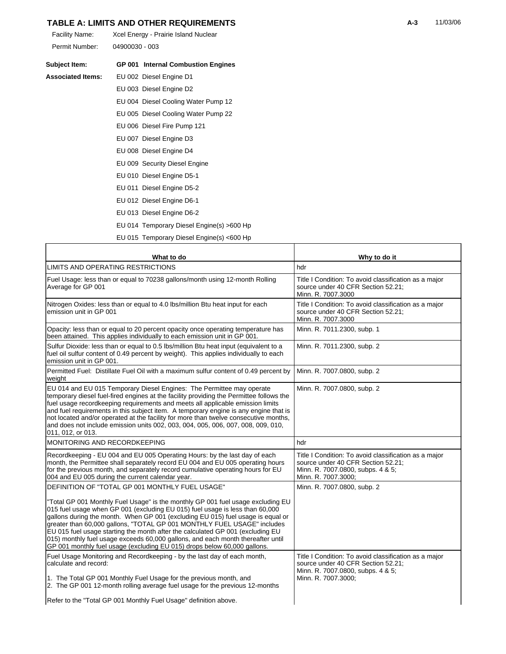| Facility Name: | Xcel Energy - Prairie Island Nuclear |
|----------------|--------------------------------------|
| Permit Number: | 04900030 - 003                       |

| Subject Item:            | <b>GP 001 Internal Combustion Engines</b> |
|--------------------------|-------------------------------------------|
| <b>Associated Items:</b> | EU 002 Diesel Engine D1                   |
|                          | EU 003 Diesel Engine D2                   |
|                          | EU 004 Diesel Cooling Water Pump 12       |
|                          | EU 005 Diesel Cooling Water Pump 22       |
|                          | EU 006 Diesel Fire Pump 121               |
|                          | EU 007 Diesel Engine D3                   |
|                          | EU 008 Diesel Engine D4                   |
|                          | EU 009 Security Diesel Engine             |
|                          | EU 010 Diesel Engine D5-1                 |
|                          | EU 011 Diesel Engine D5-2                 |
|                          | EU 012 Diesel Engine D6-1                 |
|                          | EU 013 Diesel Engine D6-2                 |
|                          | EU 014 Temporary Diesel Engine(s) >600 Hp |
|                          | EU 015 Temporary Diesel Engine(s) <600 Hp |

| What to do                                                                                                                                                                                                                                                                                                                                                                                                                                                                                                                                                                     | Why to do it                                                                                                                                            |
|--------------------------------------------------------------------------------------------------------------------------------------------------------------------------------------------------------------------------------------------------------------------------------------------------------------------------------------------------------------------------------------------------------------------------------------------------------------------------------------------------------------------------------------------------------------------------------|---------------------------------------------------------------------------------------------------------------------------------------------------------|
| LIMITS AND OPERATING RESTRICTIONS                                                                                                                                                                                                                                                                                                                                                                                                                                                                                                                                              | hdr                                                                                                                                                     |
| Fuel Usage: less than or equal to 70238 gallons/month using 12-month Rolling<br>Average for GP 001                                                                                                                                                                                                                                                                                                                                                                                                                                                                             | Title I Condition: To avoid classification as a major<br>source under 40 CFR Section 52.21;<br>Minn. R. 7007.3000                                       |
| Nitrogen Oxides: less than or equal to 4.0 lbs/million Btu heat input for each<br>emission unit in GP 001                                                                                                                                                                                                                                                                                                                                                                                                                                                                      | Title I Condition: To avoid classification as a major<br>source under 40 CFR Section 52.21;<br>Minn. R. 7007.3000                                       |
| Opacity: less than or equal to 20 percent opacity once operating temperature has<br>been attained. This applies individually to each emission unit in GP 001.                                                                                                                                                                                                                                                                                                                                                                                                                  | Minn. R. 7011.2300, subp. 1                                                                                                                             |
| Sulfur Dioxide: less than or equal to 0.5 lbs/million Btu heat input (equivalent to a<br>fuel oil sulfur content of 0.49 percent by weight). This applies individually to each<br>emission unit in GP 001.                                                                                                                                                                                                                                                                                                                                                                     | Minn. R. 7011.2300, subp. 2                                                                                                                             |
| Permitted Fuel: Distillate Fuel Oil with a maximum sulfur content of 0.49 percent by<br>weight                                                                                                                                                                                                                                                                                                                                                                                                                                                                                 | Minn. R. 7007.0800, subp. 2                                                                                                                             |
| EU 014 and EU 015 Temporary Diesel Engines: The Permittee may operate<br>temporary diesel fuel-fired engines at the facility providing the Permittee follows the<br>fuel usage recordkeeping requirements and meets all applicable emission limits<br>and fuel requirements in this subject item. A temporary engine is any engine that is<br>not located and/or operated at the facility for more than twelve consecutive months,<br>and does not include emission units 002, 003, 004, 005, 006, 007, 008, 009, 010,<br>011, 012, or 013.                                    | Minn. R. 7007.0800, subp. 2                                                                                                                             |
| MONITORING AND RECORDKEEPING                                                                                                                                                                                                                                                                                                                                                                                                                                                                                                                                                   | hdr                                                                                                                                                     |
| Recordkeeping - EU 004 and EU 005 Operating Hours: by the last day of each<br>month, the Permittee shall separately record EU 004 and EU 005 operating hours<br>for the previous month, and separately record cumulative operating hours for EU<br>004 and EU 005 during the current calendar year.                                                                                                                                                                                                                                                                            | Title I Condition: To avoid classification as a major<br>source under 40 CFR Section 52.21;<br>Minn. R. 7007.0800, subps. 4 & 5;<br>Minn. R. 7007.3000; |
| DEFINITION OF "TOTAL GP 001 MONTHLY FUEL USAGE"                                                                                                                                                                                                                                                                                                                                                                                                                                                                                                                                | Minn. R. 7007.0800, subp. 2                                                                                                                             |
| "Total GP 001 Monthly Fuel Usage" is the monthly GP 001 fuel usage excluding EU<br>015 fuel usage when GP 001 (excluding EU 015) fuel usage is less than 60,000<br>gallons during the month. When GP 001 (excluding EU 015) fuel usage is equal or<br>greater than 60,000 gallons, "TOTAL GP 001 MONTHLY FUEL USAGE" includes<br>EU 015 fuel usage starting the month after the calculated GP 001 (excluding EU<br>015) monthly fuel usage exceeds 60,000 gallons, and each month thereafter until<br>GP 001 monthly fuel usage (excluding EU 015) drops below 60,000 gallons. |                                                                                                                                                         |
| Fuel Usage Monitoring and Recordkeeping - by the last day of each month,<br>calculate and record:<br>1. The Total GP 001 Monthly Fuel Usage for the previous month, and                                                                                                                                                                                                                                                                                                                                                                                                        | Title I Condition: To avoid classification as a major<br>source under 40 CFR Section 52.21;<br>Minn. R. 7007.0800, subps. 4 & 5;<br>Minn. R. 7007.3000; |
| 2. The GP 001 12-month rolling average fuel usage for the previous 12-months                                                                                                                                                                                                                                                                                                                                                                                                                                                                                                   |                                                                                                                                                         |
| Refer to the "Total GP 001 Monthly Fuel Usage" definition above.                                                                                                                                                                                                                                                                                                                                                                                                                                                                                                               |                                                                                                                                                         |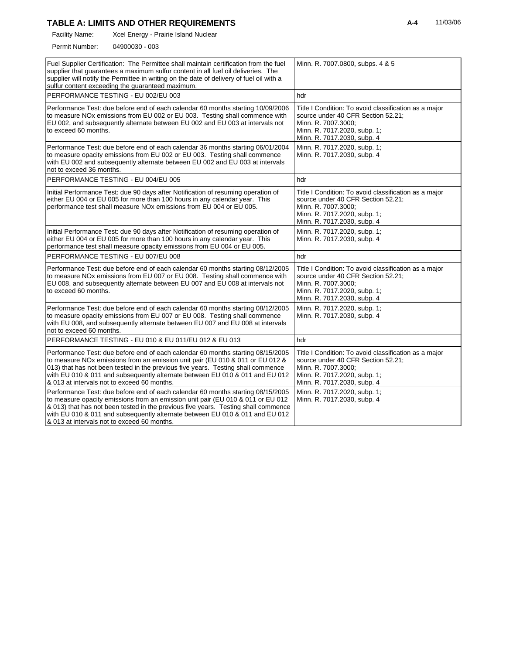Xcel Energy - Prairie Island Nuclear Facility Name:

04900030 - 003 Permit Number:

| Fuel Supplier Certification: The Permittee shall maintain certification from the fuel<br>supplier that guarantees a maximum sulfur content in all fuel oil deliveries. The<br>supplier will notify the Permittee in writing on the date of delivery of fuel oil with a<br>sulfur content exceeding the guaranteed maximum.                                                               | Minn. R. 7007.0800, subps. 4 & 5                                                                                                                                                  |  |
|------------------------------------------------------------------------------------------------------------------------------------------------------------------------------------------------------------------------------------------------------------------------------------------------------------------------------------------------------------------------------------------|-----------------------------------------------------------------------------------------------------------------------------------------------------------------------------------|--|
| PERFORMANCE TESTING - EU 002/EU 003                                                                                                                                                                                                                                                                                                                                                      | hdr                                                                                                                                                                               |  |
| Performance Test: due before end of each calendar 60 months starting 10/09/2006<br>to measure NOx emissions from EU 002 or EU 003. Testing shall commence with<br>EU 002, and subsequently alternate between EU 002 and EU 003 at intervals not<br>to exceed 60 months.                                                                                                                  | Title I Condition: To avoid classification as a major<br>source under 40 CFR Section 52.21;<br>Minn. R. 7007.3000;<br>Minn. R. 7017.2020, subp. 1;<br>Minn. R. 7017.2030, subp. 4 |  |
| Performance Test: due before end of each calendar 36 months starting 06/01/2004<br>to measure opacity emissions from EU 002 or EU 003. Testing shall commence<br>with EU 002 and subsequently alternate between EU 002 and EU 003 at intervals<br>not to exceed 36 months.                                                                                                               | Minn. R. 7017.2020, subp. 1;<br>Minn. R. 7017.2030, subp. 4                                                                                                                       |  |
| PERFORMANCE TESTING - EU 004/EU 005                                                                                                                                                                                                                                                                                                                                                      | hdr                                                                                                                                                                               |  |
| Initial Performance Test: due 90 days after Notification of resuming operation of<br>either EU 004 or EU 005 for more than 100 hours in any calendar year. This<br>performance test shall measure NOx emissions from EU 004 or EU 005.                                                                                                                                                   | Title I Condition: To avoid classification as a major<br>source under 40 CFR Section 52.21;<br>Minn. R. 7007.3000;<br>Minn. R. 7017.2020, subp. 1;<br>Minn. R. 7017.2030, subp. 4 |  |
| Initial Performance Test: due 90 days after Notification of resuming operation of<br>either EU 004 or EU 005 for more than 100 hours in any calendar year. This<br>performance test shall measure opacity emissions from EU 004 or EU 005.                                                                                                                                               | Minn. R. 7017.2020, subp. 1;<br>Minn. R. 7017.2030, subp. 4                                                                                                                       |  |
| PERFORMANCE TESTING - EU 007/EU 008                                                                                                                                                                                                                                                                                                                                                      | hdr                                                                                                                                                                               |  |
| Performance Test: due before end of each calendar 60 months starting 08/12/2005<br>to measure NOx emissions from EU 007 or EU 008. Testing shall commence with<br>EU 008, and subsequently alternate between EU 007 and EU 008 at intervals not<br>to exceed 60 months.                                                                                                                  | Title I Condition: To avoid classification as a major<br>source under 40 CFR Section 52.21;<br>Minn. R. 7007.3000;<br>Minn. R. 7017.2020, subp. 1;<br>Minn. R. 7017.2030, subp. 4 |  |
| Performance Test: due before end of each calendar 60 months starting 08/12/2005<br>to measure opacity emissions from EU 007 or EU 008. Testing shall commence<br>with EU 008, and subsequently alternate between EU 007 and EU 008 at intervals<br>not to exceed 60 months.                                                                                                              | Minn. R. 7017.2020, subp. 1;<br>Minn. R. 7017.2030, subp. 4                                                                                                                       |  |
| PERFORMANCE TESTING - EU 010 & EU 011/EU 012 & EU 013                                                                                                                                                                                                                                                                                                                                    | hdr                                                                                                                                                                               |  |
| Performance Test: due before end of each calendar 60 months starting 08/15/2005<br>to measure NOx emissions from an emission unit pair (EU 010 & 011 or EU 012 &<br>013) that has not been tested in the previous five years. Testing shall commence<br>with EU 010 & 011 and subsequently alternate between EU 010 & 011 and EU 012<br>& 013 at intervals not to exceed 60 months.      | Title I Condition: To avoid classification as a major<br>source under 40 CFR Section 52.21;<br>Minn. R. 7007.3000;<br>Minn. R. 7017.2020, subp. 1;<br>Minn. R. 7017.2030, subp. 4 |  |
| Performance Test: due before end of each calendar 60 months starting 08/15/2005<br>to measure opacity emissions from an emission unit pair (EU 010 & 011 or EU 012)<br>& 013) that has not been tested in the previous five years. Testing shall commence<br>with EU 010 & 011 and subsequently alternate between EU 010 & 011 and EU 012<br>& 013 at intervals not to exceed 60 months. | Minn. R. 7017.2020, subp. 1;<br>Minn. R. 7017.2030, subp. 4                                                                                                                       |  |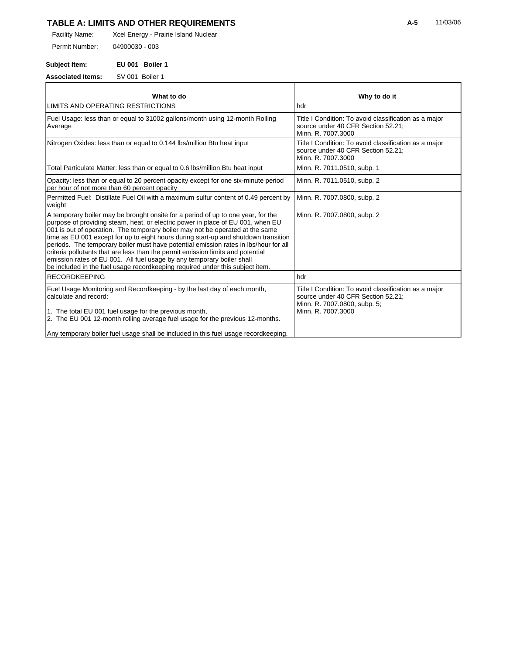Xcel Energy - Prairie Island Nuclear Facility Name:

04900030 - 003 Permit Number:

**Subject Item: EU 001 Boiler 1**

**Associated Items:** SV 001 Boiler 1

| What to do                                                                                                                                                                                                                                                                                                                                                                                                                                                                                                                                                                                                                                                                        | Why to do it                                                                                                                                      |
|-----------------------------------------------------------------------------------------------------------------------------------------------------------------------------------------------------------------------------------------------------------------------------------------------------------------------------------------------------------------------------------------------------------------------------------------------------------------------------------------------------------------------------------------------------------------------------------------------------------------------------------------------------------------------------------|---------------------------------------------------------------------------------------------------------------------------------------------------|
| LIMITS AND OPERATING RESTRICTIONS                                                                                                                                                                                                                                                                                                                                                                                                                                                                                                                                                                                                                                                 | hdr                                                                                                                                               |
| Fuel Usage: less than or equal to 31002 gallons/month using 12-month Rolling<br>Average                                                                                                                                                                                                                                                                                                                                                                                                                                                                                                                                                                                           | Title I Condition: To avoid classification as a major<br>source under 40 CFR Section 52.21;<br>Minn. R. 7007.3000                                 |
| Nitrogen Oxides: less than or equal to 0.144 lbs/million Btu heat input                                                                                                                                                                                                                                                                                                                                                                                                                                                                                                                                                                                                           | Title I Condition: To avoid classification as a major<br>source under 40 CFR Section 52.21;<br>Minn. R. 7007.3000                                 |
| Total Particulate Matter: less than or equal to 0.6 lbs/million Btu heat input                                                                                                                                                                                                                                                                                                                                                                                                                                                                                                                                                                                                    | Minn. R. 7011.0510, subp. 1                                                                                                                       |
| Opacity: less than or equal to 20 percent opacity except for one six-minute period<br>per hour of not more than 60 percent opacity                                                                                                                                                                                                                                                                                                                                                                                                                                                                                                                                                | Minn. R. 7011.0510, subp. 2                                                                                                                       |
| Permitted Fuel: Distillate Fuel Oil with a maximum sulfur content of 0.49 percent by<br>weight                                                                                                                                                                                                                                                                                                                                                                                                                                                                                                                                                                                    | Minn. R. 7007.0800, subp. 2                                                                                                                       |
| A temporary boiler may be brought onsite for a period of up to one year, for the<br>purpose of providing steam, heat, or electric power in place of EU 001, when EU<br>001 is out of operation. The temporary boiler may not be operated at the same<br>time as EU 001 except for up to eight hours during start-up and shutdown transition<br>periods. The temporary boiler must have potential emission rates in lbs/hour for all<br>criteria pollutants that are less than the permit emission limits and potential<br>emission rates of EU 001. All fuel usage by any temporary boiler shall<br>be included in the fuel usage recordkeeping required under this subject item. | Minn. R. 7007.0800, subp. 2                                                                                                                       |
| <b>RECORDKEEPING</b>                                                                                                                                                                                                                                                                                                                                                                                                                                                                                                                                                                                                                                                              | hdr                                                                                                                                               |
| Fuel Usage Monitoring and Recordkeeping - by the last day of each month,<br>calculate and record:<br>1. The total EU 001 fuel usage for the previous month,<br>2. The EU 001 12-month rolling average fuel usage for the previous 12-months.                                                                                                                                                                                                                                                                                                                                                                                                                                      | Title I Condition: To avoid classification as a major<br>source under 40 CFR Section 52.21;<br>Minn. R. 7007.0800, subp. 5;<br>Minn, R. 7007.3000 |
| Any temporary boiler fuel usage shall be included in this fuel usage recordkeeping.                                                                                                                                                                                                                                                                                                                                                                                                                                                                                                                                                                                               |                                                                                                                                                   |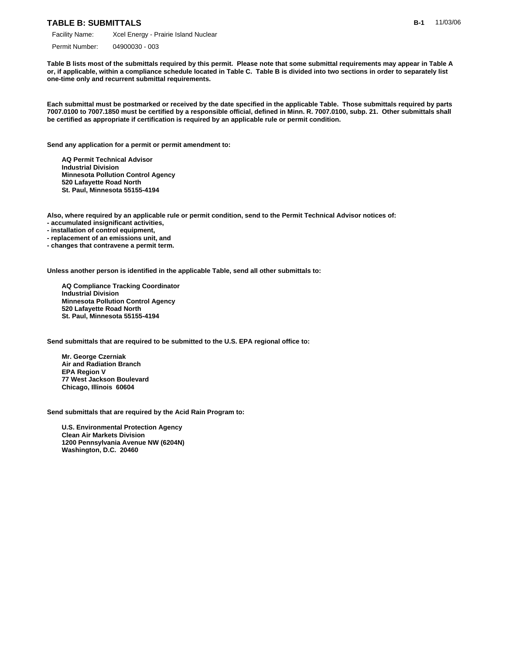#### **TABLE B: SUBMITTALS**

Permit Number: 04900030 - 003

**Table B lists most of the submittals required by this permit. Please note that some submittal requirements may appear in Table A or, if applicable, within a compliance schedule located in Table C. Table B is divided into two sections in order to separately list one-time only and recurrent submittal requirements.**

**Each submittal must be postmarked or received by the date specified in the applicable Table. Those submittals required by parts 7007.0100 to 7007.1850 must be certified by a responsible official, defined in Minn. R. 7007.0100, subp. 21. Other submittals shall be certified as appropriate if certification is required by an applicable rule or permit condition.**

**Send any application for a permit or permit amendment to:**

 **AQ Permit Technical Advisor Industrial Division Minnesota Pollution Control Agency 520 Lafayette Road North St. Paul, Minnesota 55155-4194**

**Also, where required by an applicable rule or permit condition, send to the Permit Technical Advisor notices of:**

- **accumulated insignificant activities,**
- **installation of control equipment,**
- **replacement of an emissions unit, and**
- **changes that contravene a permit term.**

**Unless another person is identified in the applicable Table, send all other submittals to:**

 **AQ Compliance Tracking Coordinator Industrial Division Minnesota Pollution Control Agency 520 Lafayette Road North St. Paul, Minnesota 55155-4194**

**Send submittals that are required to be submitted to the U.S. EPA regional office to:**

 **Mr. George Czerniak Air and Radiation Branch EPA Region V 77 West Jackson Boulevard Chicago, Illinois 60604**

**Send submittals that are required by the Acid Rain Program to:**

 **U.S. Environmental Protection Agency Clean Air Markets Division 1200 Pennsylvania Avenue NW (6204N) Washington, D.C. 20460**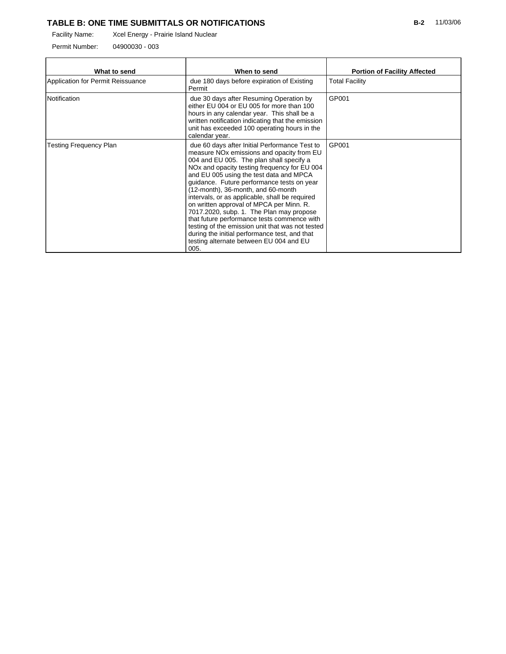## **TABLE B: ONE TIME SUBMITTALS OR NOTIFICATIONS**

Permit Number: 04900030 - 003

| What to send                      | When to send                                                                                                                                                                                                                                                                                                                                                                                                                                                                                                                                                                                                                                                                                   | <b>Portion of Facility Affected</b> |
|-----------------------------------|------------------------------------------------------------------------------------------------------------------------------------------------------------------------------------------------------------------------------------------------------------------------------------------------------------------------------------------------------------------------------------------------------------------------------------------------------------------------------------------------------------------------------------------------------------------------------------------------------------------------------------------------------------------------------------------------|-------------------------------------|
| Application for Permit Reissuance | due 180 days before expiration of Existing<br>Permit                                                                                                                                                                                                                                                                                                                                                                                                                                                                                                                                                                                                                                           | <b>Total Facility</b>               |
| Notification                      | due 30 days after Resuming Operation by<br>either EU 004 or EU 005 for more than 100<br>hours in any calendar year. This shall be a<br>written notification indicating that the emission<br>unit has exceeded 100 operating hours in the<br>calendar year.                                                                                                                                                                                                                                                                                                                                                                                                                                     | GP001                               |
| <b>Testing Frequency Plan</b>     | due 60 days after Initial Performance Test to<br>measure NO <sub>x</sub> emissions and opacity from EU<br>004 and EU 005. The plan shall specify a<br>NO <sub>x</sub> and opacity testing frequency for EU 004<br>and EU 005 using the test data and MPCA<br>quidance. Future performance tests on year<br>(12-month), 36-month, and 60-month<br>intervals, or as applicable, shall be required<br>on written approval of MPCA per Minn. R.<br>7017.2020, subp. 1. The Plan may propose<br>that future performance tests commence with<br>testing of the emission unit that was not tested<br>during the initial performance test, and that<br>testing alternate between EU 004 and EU<br>005. | GP001                               |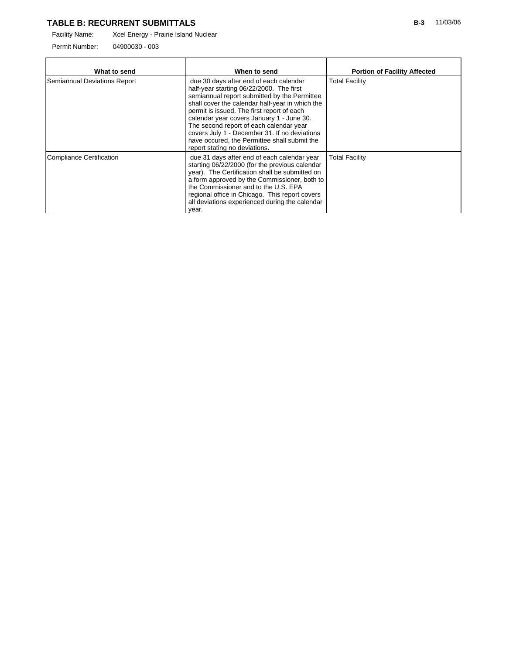### **TABLE B: RECURRENT SUBMITTALS**

Facility Name: Xcel Energy - Prairie Island Nuclear

Permit Number: 04900030 - 003

| What to send                    | When to send                                                                                                                                                                                                                                                                                                                                                                                                                                                  | <b>Portion of Facility Affected</b> |
|---------------------------------|---------------------------------------------------------------------------------------------------------------------------------------------------------------------------------------------------------------------------------------------------------------------------------------------------------------------------------------------------------------------------------------------------------------------------------------------------------------|-------------------------------------|
| Semiannual Deviations Report    | due 30 days after end of each calendar<br>half-year starting 06/22/2000. The first<br>semiannual report submitted by the Permittee<br>shall cover the calendar half-year in which the<br>permit is issued. The first report of each<br>calendar year covers January 1 - June 30.<br>The second report of each calendar year<br>covers July 1 - December 31. If no deviations<br>have occured, the Permittee shall submit the<br>report stating no deviations. | <b>Total Facility</b>               |
| <b>Compliance Certification</b> | due 31 days after end of each calendar year<br>starting 06/22/2000 (for the previous calendar<br>year). The Certification shall be submitted on<br>a form approved by the Commissioner, both to<br>the Commissioner and to the U.S. EPA<br>regional office in Chicago. This report covers<br>all deviations experienced during the calendar<br>vear.                                                                                                          | <b>Total Facility</b>               |